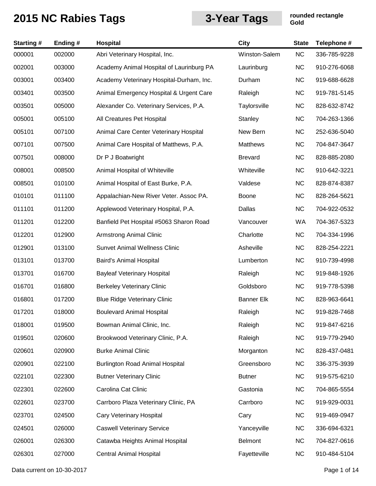| <b>Starting#</b> | Ending# | Hospital                                 | <b>City</b>       | <b>State</b> | Telephone #  |
|------------------|---------|------------------------------------------|-------------------|--------------|--------------|
| 000001           | 002000  | Abri Veterinary Hospital, Inc.           | Winston-Salem     | <b>NC</b>    | 336-785-9228 |
| 002001           | 003000  | Academy Animal Hospital of Laurinburg PA | Laurinburg        | <b>NC</b>    | 910-276-6068 |
| 003001           | 003400  | Academy Veterinary Hospital-Durham, Inc. | Durham            | <b>NC</b>    | 919-688-6628 |
| 003401           | 003500  | Animal Emergency Hospital & Urgent Care  | Raleigh           | <b>NC</b>    | 919-781-5145 |
| 003501           | 005000  | Alexander Co. Veterinary Services, P.A.  | Taylorsville      | <b>NC</b>    | 828-632-8742 |
| 005001           | 005100  | All Creatures Pet Hospital               | Stanley           | <b>NC</b>    | 704-263-1366 |
| 005101           | 007100  | Animal Care Center Veterinary Hospital   | New Bern          | <b>NC</b>    | 252-636-5040 |
| 007101           | 007500  | Animal Care Hospital of Matthews, P.A.   | Matthews          | <b>NC</b>    | 704-847-3647 |
| 007501           | 008000  | Dr P J Boatwright                        | <b>Brevard</b>    | <b>NC</b>    | 828-885-2080 |
| 008001           | 008500  | Animal Hospital of Whiteville            | Whiteville        | <b>NC</b>    | 910-642-3221 |
| 008501           | 010100  | Animal Hospital of East Burke, P.A.      | Valdese           | <b>NC</b>    | 828-874-8387 |
| 010101           | 011100  | Appalachian-New River Veter. Assoc PA.   | Boone             | <b>NC</b>    | 828-264-5621 |
| 011101           | 011200  | Applewood Veterinary Hospital, P.A.      | Dallas            | <b>NC</b>    | 704-922-0532 |
| 011201           | 012200  | Banfield Pet Hospital #5063 Sharon Road  | Vancouver         | WA           | 704-367-5323 |
| 012201           | 012900  | <b>Armstrong Animal Clinic</b>           | Charlotte         | <b>NC</b>    | 704-334-1996 |
| 012901           | 013100  | <b>Sunvet Animal Wellness Clinic</b>     | Asheville         | <b>NC</b>    | 828-254-2221 |
| 013101           | 013700  | Baird's Animal Hospital                  | Lumberton         | <b>NC</b>    | 910-739-4998 |
| 013701           | 016700  | <b>Bayleaf Veterinary Hospital</b>       | Raleigh           | <b>NC</b>    | 919-848-1926 |
| 016701           | 016800  | <b>Berkeley Veterinary Clinic</b>        | Goldsboro         | <b>NC</b>    | 919-778-5398 |
| 016801           | 017200  | <b>Blue Ridge Veterinary Clinic</b>      | <b>Banner Elk</b> | <b>NC</b>    | 828-963-6641 |
| 017201           | 018000  | <b>Boulevard Animal Hospital</b>         | Raleigh           | <b>NC</b>    | 919-828-7468 |
| 018001           | 019500  | Bowman Animal Clinic, Inc.               | Raleigh           | <b>NC</b>    | 919-847-6216 |
| 019501           | 020600  | Brookwood Veterinary Clinic, P.A.        | Raleigh           | <b>NC</b>    | 919-779-2940 |
| 020601           | 020900  | <b>Burke Animal Clinic</b>               | Morganton         | <b>NC</b>    | 828-437-0481 |
| 020901           | 022100  | <b>Burlington Road Animal Hospital</b>   | Greensboro        | <b>NC</b>    | 336-375-3939 |
| 022101           | 022300  | <b>Butner Veterinary Clinic</b>          | <b>Butner</b>     | <b>NC</b>    | 919-575-6210 |
| 022301           | 022600  | Carolina Cat Clinic                      | Gastonia          | <b>NC</b>    | 704-865-5554 |
| 022601           | 023700  | Carrboro Plaza Veterinary Clinic, PA     | Carrboro          | <b>NC</b>    | 919-929-0031 |
| 023701           | 024500  | Cary Veterinary Hospital                 | Cary              | <b>NC</b>    | 919-469-0947 |
| 024501           | 026000  | <b>Caswell Veterinary Service</b>        | Yanceyville       | <b>NC</b>    | 336-694-6321 |
| 026001           | 026300  | Catawba Heights Animal Hospital          | <b>Belmont</b>    | <b>NC</b>    | 704-827-0616 |
| 026301           | 027000  | <b>Central Animal Hospital</b>           | Fayetteville      | <b>NC</b>    | 910-484-5104 |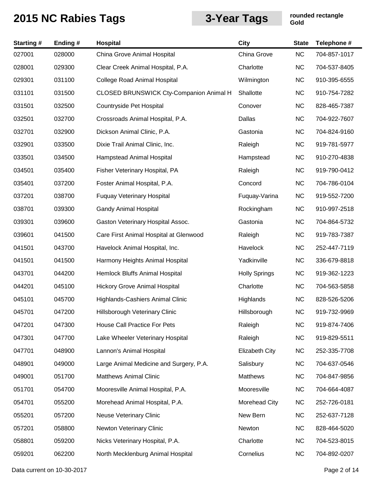| <b>Starting#</b> | Ending# | Hospital                                       | <b>City</b>           | <b>State</b> | Telephone #  |
|------------------|---------|------------------------------------------------|-----------------------|--------------|--------------|
| 027001           | 028000  | China Grove Animal Hospital                    | China Grove           | <b>NC</b>    | 704-857-1017 |
| 028001           | 029300  | Clear Creek Animal Hospital, P.A.              | Charlotte             | <b>NC</b>    | 704-537-8405 |
| 029301           | 031100  | <b>College Road Animal Hospital</b>            | Wilmington            | <b>NC</b>    | 910-395-6555 |
| 031101           | 031500  | <b>CLOSED BRUNSWICK Cty-Companion Animal H</b> | Shallotte             | <b>NC</b>    | 910-754-7282 |
| 031501           | 032500  | Countryside Pet Hospital                       | Conover               | <b>NC</b>    | 828-465-7387 |
| 032501           | 032700  | Crossroads Animal Hospital, P.A.               | Dallas                | <b>NC</b>    | 704-922-7607 |
| 032701           | 032900  | Dickson Animal Clinic, P.A.                    | Gastonia              | <b>NC</b>    | 704-824-9160 |
| 032901           | 033500  | Dixie Trail Animal Clinic, Inc.                | Raleigh               | <b>NC</b>    | 919-781-5977 |
| 033501           | 034500  | <b>Hampstead Animal Hospital</b>               | Hampstead             | <b>NC</b>    | 910-270-4838 |
| 034501           | 035400  | Fisher Veterinary Hospital, PA                 | Raleigh               | <b>NC</b>    | 919-790-0412 |
| 035401           | 037200  | Foster Animal Hospital, P.A.                   | Concord               | <b>NC</b>    | 704-786-0104 |
| 037201           | 038700  | <b>Fuquay Veterinary Hospital</b>              | Fuquay-Varina         | <b>NC</b>    | 919-552-7200 |
| 038701           | 039300  | <b>Gandy Animal Hospital</b>                   | Rockingham            | <b>NC</b>    | 910-997-2518 |
| 039301           | 039600  | Gaston Veterinary Hospital Assoc.              | Gastonia              | <b>NC</b>    | 704-864-5732 |
| 039601           | 041500  | Care First Animal Hospital at Glenwood         | Raleigh               | <b>NC</b>    | 919-783-7387 |
| 041501           | 043700  | Havelock Animal Hospital, Inc.                 | Havelock              | <b>NC</b>    | 252-447-7119 |
| 041501           | 041500  | Harmony Heights Animal Hospital                | Yadkinville           | <b>NC</b>    | 336-679-8818 |
| 043701           | 044200  | Hemlock Bluffs Animal Hospital                 | <b>Holly Springs</b>  | <b>NC</b>    | 919-362-1223 |
| 044201           | 045100  | <b>Hickory Grove Animal Hospital</b>           | Charlotte             | <b>NC</b>    | 704-563-5858 |
| 045101           | 045700  | Highlands-Cashiers Animal Clinic               | Highlands             | <b>NC</b>    | 828-526-5206 |
| 045701           | 047200  | Hillsborough Veterinary Clinic                 | Hillsborough          | NC.          | 919-732-9969 |
| 047201           | 047300  | House Call Practice For Pets                   | Raleigh               | <b>NC</b>    | 919-874-7406 |
| 047301           | 047700  | Lake Wheeler Veterinary Hospital               | Raleigh               | <b>NC</b>    | 919-829-5511 |
| 047701           | 048900  | Lannon's Animal Hospital                       | <b>Elizabeth City</b> | <b>NC</b>    | 252-335-7708 |
| 048901           | 049000  | Large Animal Medicine and Surgery, P.A.        | Salisbury             | <b>NC</b>    | 704-637-0546 |
| 049001           | 051700  | <b>Matthews Animal Clinic</b>                  | Matthews              | <b>NC</b>    | 704-847-9856 |
| 051701           | 054700  | Mooresville Animal Hospital, P.A.              | Mooresville           | <b>NC</b>    | 704-664-4087 |
| 054701           | 055200  | Morehead Animal Hospital, P.A.                 | Morehead City         | <b>NC</b>    | 252-726-0181 |
| 055201           | 057200  | <b>Neuse Veterinary Clinic</b>                 | New Bern              | <b>NC</b>    | 252-637-7128 |
| 057201           | 058800  | Newton Veterinary Clinic                       | Newton                | <b>NC</b>    | 828-464-5020 |
| 058801           | 059200  | Nicks Veterinary Hospital, P.A.                | Charlotte             | <b>NC</b>    | 704-523-8015 |
| 059201           | 062200  | North Mecklenburg Animal Hospital              | Cornelius             | <b>NC</b>    | 704-892-0207 |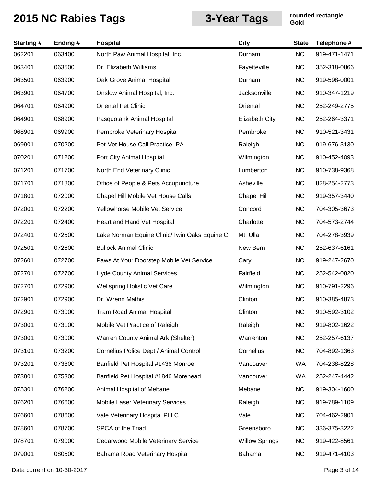| <b>Starting#</b> | Ending # | Hospital                                       | <b>City</b>           | <b>State</b> | Telephone #  |
|------------------|----------|------------------------------------------------|-----------------------|--------------|--------------|
| 062201           | 063400   | North Paw Animal Hospital, Inc.                | Durham                | <b>NC</b>    | 919-471-1471 |
| 063401           | 063500   | Dr. Elizabeth Williams                         | Fayetteville          | <b>NC</b>    | 352-318-0866 |
| 063501           | 063900   | Oak Grove Animal Hospital                      | Durham                | <b>NC</b>    | 919-598-0001 |
| 063901           | 064700   | Onslow Animal Hospital, Inc.                   | Jacksonville          | <b>NC</b>    | 910-347-1219 |
| 064701           | 064900   | <b>Oriental Pet Clinic</b>                     | Oriental              | <b>NC</b>    | 252-249-2775 |
| 064901           | 068900   | Pasquotank Animal Hospital                     | <b>Elizabeth City</b> | <b>NC</b>    | 252-264-3371 |
| 068901           | 069900   | Pembroke Veterinary Hospital                   | Pembroke              | <b>NC</b>    | 910-521-3431 |
| 069901           | 070200   | Pet-Vet House Call Practice, PA                | Raleigh               | <b>NC</b>    | 919-676-3130 |
| 070201           | 071200   | Port City Animal Hospital                      | Wilmington            | <b>NC</b>    | 910-452-4093 |
| 071201           | 071700   | North End Veterinary Clinic                    | Lumberton             | <b>NC</b>    | 910-738-9368 |
| 071701           | 071800   | Office of People & Pets Accupuncture           | Asheville             | <b>NC</b>    | 828-254-2773 |
| 071801           | 072000   | Chapel Hill Mobile Vet House Calls             | <b>Chapel Hill</b>    | <b>NC</b>    | 919-357-3440 |
| 072001           | 072200   | Yellowhorse Mobile Vet Service                 | Concord               | <b>NC</b>    | 704-305-3673 |
| 072201           | 072400   | Heart and Hand Vet Hospital                    | Charlotte             | <b>NC</b>    | 704-573-2744 |
| 072401           | 072500   | Lake Norman Equine Clinic/Twin Oaks Equine Cli | Mt. Ulla              | <b>NC</b>    | 704-278-3939 |
| 072501           | 072600   | <b>Bullock Animal Clinic</b>                   | New Bern              | <b>NC</b>    | 252-637-6161 |
| 072601           | 072700   | Paws At Your Doorstep Mobile Vet Service       | Cary                  | <b>NC</b>    | 919-247-2670 |
| 072701           | 072700   | <b>Hyde County Animal Services</b>             | Fairfield             | <b>NC</b>    | 252-542-0820 |
| 072701           | 072900   | <b>Wellspring Holistic Vet Care</b>            | Wilmington            | <b>NC</b>    | 910-791-2296 |
| 072901           | 072900   | Dr. Wrenn Mathis                               | Clinton               | <b>NC</b>    | 910-385-4873 |
| 072901           | 073000   | Tram Road Animal Hospital                      | Clinton               | <b>NC</b>    | 910-592-3102 |
| 073001           | 073100   | Mobile Vet Practice of Raleigh                 | Raleigh               | <b>NC</b>    | 919-802-1622 |
| 073001           | 073000   | Warren County Animal Ark (Shelter)             | Warrenton             | <b>NC</b>    | 252-257-6137 |
| 073101           | 073200   | Cornelius Police Dept / Animal Control         | Cornelius             | <b>NC</b>    | 704-892-1363 |
| 073201           | 073800   | Banfield Pet Hospital #1436 Monroe             | Vancouver             | WA           | 704-238-8228 |
| 073801           | 075300   | Banfield Pet Hospital #1846 Morehead           | Vancouver             | WA           | 252-247-4442 |
| 075301           | 076200   | Animal Hospital of Mebane                      | Mebane                | <b>NC</b>    | 919-304-1600 |
| 076201           | 076600   | Mobile Laser Veterinary Services               | Raleigh               | <b>NC</b>    | 919-789-1109 |
| 076601           | 078600   | Vale Veterinary Hospital PLLC                  | Vale                  | <b>NC</b>    | 704-462-2901 |
| 078601           | 078700   | SPCA of the Triad                              | Greensboro            | <b>NC</b>    | 336-375-3222 |
| 078701           | 079000   | Cedarwood Mobile Veterinary Service            | <b>Willow Springs</b> | <b>NC</b>    | 919-422-8561 |
| 079001           | 080500   | Bahama Road Veterinary Hospital                | Bahama                | <b>NC</b>    | 919-471-4103 |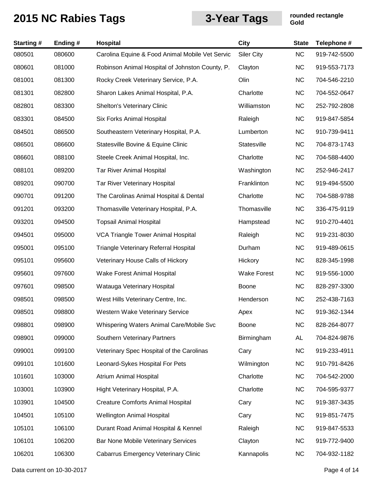| <b>Starting#</b> | Ending # | <b>Hospital</b>                                 | <b>City</b>        | <b>State</b> | Telephone #  |
|------------------|----------|-------------------------------------------------|--------------------|--------------|--------------|
| 080501           | 080600   | Carolina Equine & Food Animal Mobile Vet Servic | <b>Siler City</b>  | <b>NC</b>    | 919-742-5500 |
| 080601           | 081000   | Robinson Animal Hospital of Johnston County, P. | Clayton            | <b>NC</b>    | 919-553-7173 |
| 081001           | 081300   | Rocky Creek Veterinary Service, P.A.            | Olin               | <b>NC</b>    | 704-546-2210 |
| 081301           | 082800   | Sharon Lakes Animal Hospital, P.A.              | Charlotte          | <b>NC</b>    | 704-552-0647 |
| 082801           | 083300   | Shelton's Veterinary Clinic                     | Williamston        | <b>NC</b>    | 252-792-2808 |
| 083301           | 084500   | <b>Six Forks Animal Hospital</b>                | Raleigh            | <b>NC</b>    | 919-847-5854 |
| 084501           | 086500   | Southeastern Veterinary Hospital, P.A.          | Lumberton          | <b>NC</b>    | 910-739-9411 |
| 086501           | 086600   | Statesville Bovine & Equine Clinic              | Statesville        | <b>NC</b>    | 704-873-1743 |
| 086601           | 088100   | Steele Creek Animal Hospital, Inc.              | Charlotte          | <b>NC</b>    | 704-588-4400 |
| 088101           | 089200   | <b>Tar River Animal Hospital</b>                | Washington         | <b>NC</b>    | 252-946-2417 |
| 089201           | 090700   | Tar River Veterinary Hospital                   | Franklinton        | <b>NC</b>    | 919-494-5500 |
| 090701           | 091200   | The Carolinas Animal Hospital & Dental          | Charlotte          | <b>NC</b>    | 704-588-9788 |
| 091201           | 093200   | Thomasville Veterinary Hospital, P.A.           | Thomasville        | <b>NC</b>    | 336-475-9119 |
| 093201           | 094500   | <b>Topsail Animal Hospital</b>                  | Hampstead          | <b>NC</b>    | 910-270-4401 |
| 094501           | 095000   | VCA Triangle Tower Animal Hospital              | Raleigh            | <b>NC</b>    | 919-231-8030 |
| 095001           | 095100   | Triangle Veterinary Referral Hospital           | Durham             | <b>NC</b>    | 919-489-0615 |
| 095101           | 095600   | Veterinary House Calls of Hickory               | Hickory            | <b>NC</b>    | 828-345-1998 |
| 095601           | 097600   | Wake Forest Animal Hospital                     | <b>Wake Forest</b> | <b>NC</b>    | 919-556-1000 |
| 097601           | 098500   | Watauga Veterinary Hospital                     | Boone              | <b>NC</b>    | 828-297-3300 |
| 098501           | 098500   | West Hills Veterinary Centre, Inc.              | Henderson          | <b>NC</b>    | 252-438-7163 |
| 098501           | 098800   | Western Wake Veterinary Service                 | Apex               | <b>NC</b>    | 919-362-1344 |
| 098801           | 098900   | Whispering Waters Animal Care/Mobile Svc        | Boone              | <b>NC</b>    | 828-264-8077 |
| 098901           | 099000   | Southern Veterinary Partners                    | Birmingham         | AL           | 704-824-9876 |
| 099001           | 099100   | Veterinary Spec Hospital of the Carolinas       | Cary               | <b>NC</b>    | 919-233-4911 |
| 099101           | 101600   | Leonard-Sykes Hospital For Pets                 | Wilmington         | <b>NC</b>    | 910-791-8426 |
| 101601           | 103000   | Atrium Animal Hospital                          | Charlotte          | <b>NC</b>    | 704-542-2000 |
| 103001           | 103900   | Hight Veterinary Hospital, P.A.                 | Charlotte          | <b>NC</b>    | 704-595-9377 |
| 103901           | 104500   | <b>Creature Comforts Animal Hospital</b>        | Cary               | <b>NC</b>    | 919-387-3435 |
| 104501           | 105100   | Wellington Animal Hospital                      | Cary               | <b>NC</b>    | 919-851-7475 |
| 105101           | 106100   | Durant Road Animal Hospital & Kennel            | Raleigh            | <b>NC</b>    | 919-847-5533 |
| 106101           | 106200   | Bar None Mobile Veterinary Services             | Clayton            | <b>NC</b>    | 919-772-9400 |
| 106201           | 106300   | <b>Cabarrus Emergency Veterinary Clinic</b>     | Kannapolis         | <b>NC</b>    | 704-932-1182 |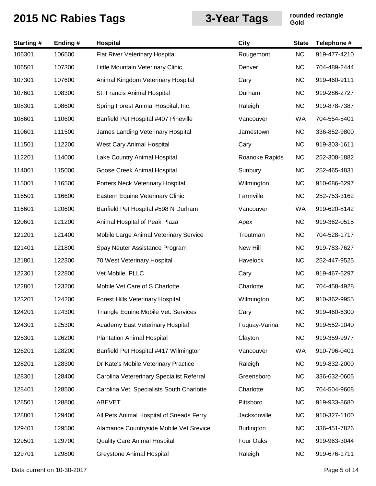| <b>Starting#</b> | Ending# | <b>Hospital</b>                           | <b>City</b>       | <b>State</b> | Telephone #  |
|------------------|---------|-------------------------------------------|-------------------|--------------|--------------|
| 106301           | 106500  | Flat River Veterinary Hospital            | Rougemont         | <b>NC</b>    | 919-477-4210 |
| 106501           | 107300  | Little Mountain Veterinary Clinic         | Denver            | <b>NC</b>    | 704-489-2444 |
| 107301           | 107600  | Animal Kingdom Veterinary Hospital        | Cary              | <b>NC</b>    | 919-460-9111 |
| 107601           | 108300  | St. Francis Animal Hospital               | Durham            | <b>NC</b>    | 919-286-2727 |
| 108301           | 108600  | Spring Forest Animal Hospital, Inc.       | Raleigh           | <b>NC</b>    | 919-878-7387 |
| 108601           | 110600  | Banfield Pet Hospital #407 Pineville      | Vancouver         | WA           | 704-554-5401 |
| 110601           | 111500  | James Landing Veterinary Hospital         | Jamestown         | <b>NC</b>    | 336-852-9800 |
| 111501           | 112200  | West Cary Animal Hospital                 | Cary              | NC           | 919-303-1611 |
| 112201           | 114000  | Lake Country Animal Hospital              | Roanoke Rapids    | <b>NC</b>    | 252-308-1882 |
| 114001           | 115000  | Goose Creek Animal Hospital               | Sunbury           | <b>NC</b>    | 252-465-4831 |
| 115001           | 116500  | Porters Neck Veterinary Hospital          | Wilmington        | <b>NC</b>    | 910-686-6297 |
| 116501           | 116600  | Eastern Equine Veterinary Clinic          | Farmville         | NC           | 252-753-3162 |
| 116601           | 120600  | Banfield Pet Hospital #598 N Durham       | Vancouver         | WA           | 919-620-8142 |
| 120601           | 121200  | Animal Hospital of Peak Plaza             | Apex              | <b>NC</b>    | 919-362-0515 |
| 121201           | 121400  | Mobile Large Animal Veterinary Service    | Troutman          | <b>NC</b>    | 704-528-1717 |
| 121401           | 121800  | Spay Neuter Assistance Program            | New Hill          | <b>NC</b>    | 919-783-7627 |
| 121801           | 122300  | 70 West Veterinary Hospital               | Havelock          | <b>NC</b>    | 252-447-9525 |
| 122301           | 122800  | Vet Mobile, PLLC                          | Cary              | <b>NC</b>    | 919-467-6297 |
| 122801           | 123200  | Mobile Vet Care of S Charlotte            | Charlotte         | <b>NC</b>    | 704-458-4928 |
| 123201           | 124200  | Forest Hills Veterinary Hospital          | Wilmington        | <b>NC</b>    | 910-362-9955 |
| 124201           | 124300  | Triangle Equine Mobile Vet. Services      | Cary              | <b>NC</b>    | 919-460-6300 |
| 124301           | 125300  | Academy East Veterinary Hospital          | Fuquay-Varina     | <b>NC</b>    | 919-552-1040 |
| 125301           | 126200  | <b>Plantation Animal Hospital</b>         | Clayton           | <b>NC</b>    | 919-359-9977 |
| 126201           | 128200  | Banfield Pet Hospital #417 Wilmington     | Vancouver         | WA           | 910-796-0401 |
| 128201           | 128300  | Dr Kate's Mobile Veterinary Practice      | Raleigh           | <b>NC</b>    | 919-832-2000 |
| 128301           | 128400  | Carolina Vetererinary Specialist Referral | Greensboro        | <b>NC</b>    | 336-632-0605 |
| 128401           | 128500  | Carolina Vet. Specialists South Charlotte | Charlotte         | <b>NC</b>    | 704-504-9608 |
| 128501           | 128800  | <b>ABEVET</b>                             | Pittsboro         | <b>NC</b>    | 919-933-8680 |
| 128801           | 129400  | All Pets Animal Hospital of Sneads Ferry  | Jacksonville      | <b>NC</b>    | 910-327-1100 |
| 129401           | 129500  | Alamance Countryside Mobile Vet Srevice   | <b>Burlington</b> | <b>NC</b>    | 336-451-7826 |
| 129501           | 129700  | <b>Quality Care Animal Hospital</b>       | Four Oaks         | <b>NC</b>    | 919-963-3044 |
| 129701           | 129800  | Greystone Animal Hospital                 | Raleigh           | <b>NC</b>    | 919-676-1711 |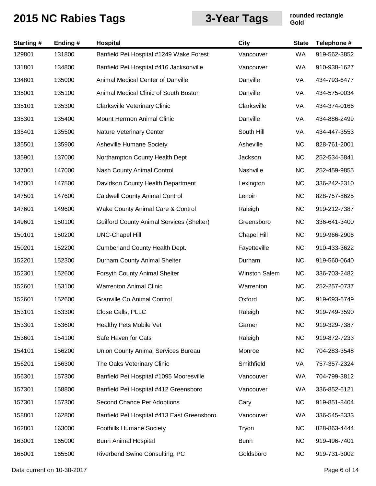| <b>Starting#</b> | Ending# | Hospital                                         | <b>City</b>   | <b>State</b> | Telephone #  |
|------------------|---------|--------------------------------------------------|---------------|--------------|--------------|
| 129801           | 131800  | Banfield Pet Hospital #1249 Wake Forest          | Vancouver     | WA           | 919-562-3852 |
| 131801           | 134800  | Banfield Pet Hospital #416 Jacksonville          | Vancouver     | <b>WA</b>    | 910-938-1627 |
| 134801           | 135000  | Animal Medical Center of Danville                | Danville      | VA           | 434-793-6477 |
| 135001           | 135100  | Animal Medical Clinic of South Boston            | Danville      | VA           | 434-575-0034 |
| 135101           | 135300  | <b>Clarksville Veterinary Clinic</b>             | Clarksville   | VA           | 434-374-0166 |
| 135301           | 135400  | Mount Hermon Animal Clinic                       | Danville      | VA           | 434-886-2499 |
| 135401           | 135500  | Nature Veterinary Center                         | South Hill    | VA           | 434-447-3553 |
| 135501           | 135900  | Asheville Humane Society                         | Asheville     | <b>NC</b>    | 828-761-2001 |
| 135901           | 137000  | Northampton County Health Dept                   | Jackson       | <b>NC</b>    | 252-534-5841 |
| 137001           | 147000  | <b>Nash County Animal Control</b>                | Nashville     | <b>NC</b>    | 252-459-9855 |
| 147001           | 147500  | Davidson County Health Department                | Lexington     | <b>NC</b>    | 336-242-2310 |
| 147501           | 147600  | <b>Caldwell County Animal Control</b>            | Lenoir        | <b>NC</b>    | 828-757-8625 |
| 147601           | 149600  | Wake County Animal Care & Control                | Raleigh       | <b>NC</b>    | 919-212-7387 |
| 149601           | 150100  | <b>Guilford County Animal Services (Shelter)</b> | Greensboro    | <b>NC</b>    | 336-641-3400 |
| 150101           | 150200  | <b>UNC-Chapel Hill</b>                           | Chapel Hill   | <b>NC</b>    | 919-966-2906 |
| 150201           | 152200  | Cumberland County Health Dept.                   | Fayetteville  | <b>NC</b>    | 910-433-3622 |
| 152201           | 152300  | Durham County Animal Shelter                     | Durham        | <b>NC</b>    | 919-560-0640 |
| 152301           | 152600  | Forsyth County Animal Shelter                    | Winston Salem | <b>NC</b>    | 336-703-2482 |
| 152601           | 153100  | <b>Warrenton Animal Clinic</b>                   | Warrenton     | <b>NC</b>    | 252-257-0737 |
| 152601           | 152600  | <b>Granville Co Animal Control</b>               | Oxford        | <b>NC</b>    | 919-693-6749 |
| 153101           | 153300  | Close Calls, PLLC                                | Raleigh       | <b>NC</b>    | 919-749-3590 |
| 153301           | 153600  | Healthy Pets Mobile Vet                          | Garner        | <b>NC</b>    | 919-329-7387 |
| 153601           | 154100  | Safe Haven for Cats                              | Raleigh       | <b>NC</b>    | 919-872-7233 |
| 154101           | 156200  | Union County Animal Services Bureau              | Monroe        | <b>NC</b>    | 704-283-3548 |
| 156201           | 156300  | The Oaks Veterinary Clinic                       | Smithfield    | VA           | 757-357-2324 |
| 156301           | 157300  | Banfield Pet Hospital #1095 Mooresville          | Vancouver     | WA           | 704-799-3812 |
| 157301           | 158800  | Banfield Pet Hospital #412 Greensboro            | Vancouver     | WA           | 336-852-6121 |
| 157301           | 157300  | Second Chance Pet Adoptions                      | Cary          | <b>NC</b>    | 919-851-8404 |
| 158801           | 162800  | Banfield Pet Hospital #413 East Greensboro       | Vancouver     | WA           | 336-545-8333 |
| 162801           | 163000  | <b>Foothills Humane Society</b>                  | Tryon         | <b>NC</b>    | 828-863-4444 |
| 163001           | 165000  | <b>Bunn Animal Hospital</b>                      | <b>Bunn</b>   | <b>NC</b>    | 919-496-7401 |
| 165001           | 165500  | Riverbend Swine Consulting, PC                   | Goldsboro     | <b>NC</b>    | 919-731-3002 |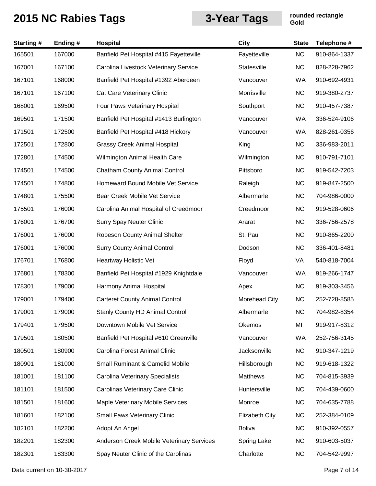| <b>Starting#</b> | Ending # | Hospital                                   | City                  | <b>State</b> | Telephone #  |
|------------------|----------|--------------------------------------------|-----------------------|--------------|--------------|
| 165501           | 167000   | Banfield Pet Hospital #415 Fayetteville    | Fayetteville          | NC           | 910-864-1337 |
| 167001           | 167100   | Carolina Livestock Veterinary Service      | Statesville           | <b>NC</b>    | 828-228-7962 |
| 167101           | 168000   | Banfield Pet Hospital #1392 Aberdeen       | Vancouver             | WA           | 910-692-4931 |
| 167101           | 167100   | Cat Care Veterinary Clinic                 | Morrisville           | <b>NC</b>    | 919-380-2737 |
| 168001           | 169500   | Four Paws Veterinary Hospital              | Southport             | <b>NC</b>    | 910-457-7387 |
| 169501           | 171500   | Banfield Pet Hospital #1413 Burlington     | Vancouver             | WA           | 336-524-9106 |
| 171501           | 172500   | Banfield Pet Hospital #418 Hickory         | Vancouver             | WA           | 828-261-0356 |
| 172501           | 172800   | <b>Grassy Creek Animal Hospital</b>        | King                  | <b>NC</b>    | 336-983-2011 |
| 172801           | 174500   | Wilmington Animal Health Care              | Wilmington            | <b>NC</b>    | 910-791-7101 |
| 174501           | 174500   | <b>Chatham County Animal Control</b>       | Pittsboro             | <b>NC</b>    | 919-542-7203 |
| 174501           | 174800   | Homeward Bound Mobile Vet Service          | Raleigh               | <b>NC</b>    | 919-847-2500 |
| 174801           | 175500   | Bear Creek Mobile Vet Service              | Albermarle            | <b>NC</b>    | 704-986-0000 |
| 175501           | 176000   | Carolina Animal Hospital of Creedmoor      | Creedmoor             | <b>NC</b>    | 919-528-0606 |
| 176001           | 176700   | <b>Surry Spay Neuter Clinic</b>            | Ararat                | <b>NC</b>    | 336-756-2578 |
| 176001           | 176000   | Robeson County Animal Shelter              | St. Paul              | <b>NC</b>    | 910-865-2200 |
| 176001           | 176000   | <b>Surry County Animal Control</b>         | Dodson                | <b>NC</b>    | 336-401-8481 |
| 176701           | 176800   | Heartway Holistic Vet                      | Floyd                 | VA           | 540-818-7004 |
| 176801           | 178300   | Banfield Pet Hospital #1929 Knightdale     | Vancouver             | WA           | 919-266-1747 |
| 178301           | 179000   | Harmony Animal Hospital                    | Apex                  | <b>NC</b>    | 919-303-3456 |
| 179001           | 179400   | <b>Carteret County Animal Control</b>      | Morehead City         | <b>NC</b>    | 252-728-8585 |
| 179001           | 179000   | <b>Stanly County HD Animal Control</b>     | Albermarle            | <b>NC</b>    | 704-982-8354 |
| 179401           | 179500   | Downtown Mobile Vet Service                | Okemos                | MI           | 919-917-8312 |
| 179501           | 180500   | Banfield Pet Hospital #610 Greenville      | Vancouver             | WA           | 252-756-3145 |
| 180501           | 180900   | Carolina Forest Animal Clinic              | Jacksonville          | <b>NC</b>    | 910-347-1219 |
| 180901           | 181000   | <b>Small Ruminant &amp; Camelid Mobile</b> | Hillsborough          | <b>NC</b>    | 919-618-1322 |
| 181001           | 181100   | Carolina Veterinary Specialists            | Matthews              | <b>NC</b>    | 704-815-3939 |
| 181101           | 181500   | Carolinas Veterinary Care Clinic           | Huntersville          | <b>NC</b>    | 704-439-0600 |
| 181501           | 181600   | Maple Veterinary Mobile Services           | Monroe                | <b>NC</b>    | 704-635-7788 |
| 181601           | 182100   | <b>Small Paws Veterinary Clinic</b>        | <b>Elizabeth City</b> | <b>NC</b>    | 252-384-0109 |
| 182101           | 182200   | Adopt An Angel                             | <b>Boliva</b>         | <b>NC</b>    | 910-392-0557 |
| 182201           | 182300   | Anderson Creek Mobile Veterinary Services  | Spring Lake           | <b>NC</b>    | 910-603-5037 |
| 182301           | 183300   | Spay Neuter Clinic of the Carolinas        | Charlotte             | <b>NC</b>    | 704-542-9997 |

Data current on 10-30-2017 **Page 7 of 14**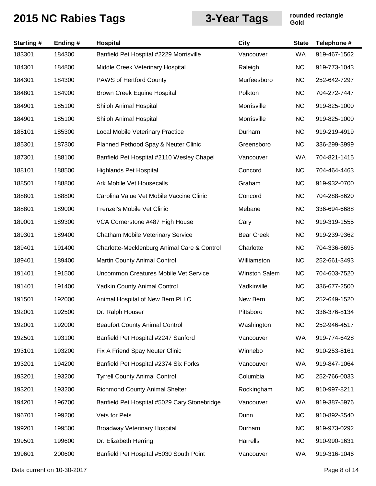| <b>Starting#</b> | Ending# | Hospital                                     | City                 | <b>State</b> | Telephone #  |
|------------------|---------|----------------------------------------------|----------------------|--------------|--------------|
| 183301           | 184300  | Banfield Pet Hospital #2229 Morrisville      | Vancouver            | WA           | 919-467-1562 |
| 184301           | 184800  | Middle Creek Veterinary Hospital             | Raleigh              | <b>NC</b>    | 919-773-1043 |
| 184301           | 184300  | PAWS of Hertford County                      | Murfeesboro          | <b>NC</b>    | 252-642-7297 |
| 184801           | 184900  | Brown Creek Equine Hospital                  | Polkton              | <b>NC</b>    | 704-272-7447 |
| 184901           | 185100  | Shiloh Animal Hospital                       | Morrisville          | <b>NC</b>    | 919-825-1000 |
| 184901           | 185100  | Shiloh Animal Hospital                       | Morrisville          | <b>NC</b>    | 919-825-1000 |
| 185101           | 185300  | Local Mobile Veterinary Practice             | Durham               | <b>NC</b>    | 919-219-4919 |
| 185301           | 187300  | Planned Pethood Spay & Neuter Clinic         | Greensboro           | <b>NC</b>    | 336-299-3999 |
| 187301           | 188100  | Banfield Pet Hospital #2110 Wesley Chapel    | Vancouver            | WA           | 704-821-1415 |
| 188101           | 188500  | <b>Highlands Pet Hospital</b>                | Concord              | <b>NC</b>    | 704-464-4463 |
| 188501           | 188800  | Ark Mobile Vet Housecalls                    | Graham               | <b>NC</b>    | 919-932-0700 |
| 188801           | 188800  | Carolina Value Vet Mobile Vaccine Clinic     | Concord              | <b>NC</b>    | 704-288-8620 |
| 188801           | 189000  | Frenzel's Mobile Vet Clinic                  | Mebane               | <b>NC</b>    | 336-694-6688 |
| 189001           | 189300  | VCA Cornerstone #487 High House              | Cary                 | <b>NC</b>    | 919-319-1555 |
| 189301           | 189400  | <b>Chatham Mobile Veterinary Service</b>     | <b>Bear Creek</b>    | <b>NC</b>    | 919-239-9362 |
| 189401           | 191400  | Charlotte-Mecklenburg Animal Care & Control  | Charlotte            | <b>NC</b>    | 704-336-6695 |
| 189401           | 189400  | Martin County Animal Control                 | Williamston          | <b>NC</b>    | 252-661-3493 |
| 191401           | 191500  | Uncommon Creatures Mobile Vet Service        | <b>Winston Salem</b> | <b>NC</b>    | 704-603-7520 |
| 191401           | 191400  | <b>Yadkin County Animal Control</b>          | Yadkinville          | <b>NC</b>    | 336-677-2500 |
| 191501           | 192000  | Animal Hospital of New Bern PLLC             | New Bern             | <b>NC</b>    | 252-649-1520 |
| 192001           | 192500  | Dr. Ralph Houser                             | Pittsboro            | <b>NC</b>    | 336-376-8134 |
| 192001           | 192000  | <b>Beaufort County Animal Control</b>        | Washington           | <b>NC</b>    | 252-946-4517 |
| 192501           | 193100  | Banfield Pet Hospital #2247 Sanford          | Vancouver            | WA           | 919-774-6428 |
| 193101           | 193200  | Fix A Friend Spay Neuter Clinic              | Winnebo              | <b>NC</b>    | 910-253-8161 |
| 193201           | 194200  | Banfield Pet Hospital #2374 Six Forks        | Vancouver            | WA           | 919-847-1064 |
| 193201           | 193200  | <b>Tyrrell County Animal Control</b>         | Columbia             | <b>NC</b>    | 252-766-0033 |
| 193201           | 193200  | <b>Richmond County Animal Shelter</b>        | Rockingham           | <b>NC</b>    | 910-997-8211 |
| 194201           | 196700  | Banfield Pet Hospital #5029 Cary Stonebridge | Vancouver            | WA           | 919-387-5976 |
| 196701           | 199200  | Vets for Pets                                | Dunn                 | <b>NC</b>    | 910-892-3540 |
| 199201           | 199500  | <b>Broadway Veterinary Hospital</b>          | Durham               | <b>NC</b>    | 919-973-0292 |
| 199501           | 199600  | Dr. Elizabeth Herring                        | Harrells             | <b>NC</b>    | 910-990-1631 |
| 199601           | 200600  | Banfield Pet Hospital #5030 South Point      | Vancouver            | WA           | 919-316-1046 |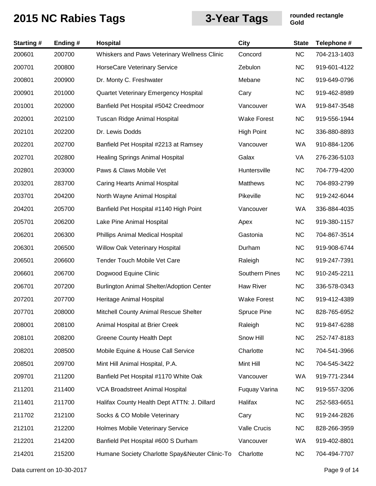| <b>Starting#</b> | Ending# | <b>Hospital</b>                                | City                  | <b>State</b> | Telephone #  |
|------------------|---------|------------------------------------------------|-----------------------|--------------|--------------|
| 200601           | 200700  | Whiskers and Paws Veterinary Wellness Clinic   | Concord               | <b>NC</b>    | 704-213-1403 |
| 200701           | 200800  | <b>HorseCare Veterinary Service</b>            | Zebulon               | <b>NC</b>    | 919-601-4122 |
| 200801           | 200900  | Dr. Monty C. Freshwater                        | Mebane                | <b>NC</b>    | 919-649-0796 |
| 200901           | 201000  | Quartet Veterinary Emergency Hospital          | Cary                  | <b>NC</b>    | 919-462-8989 |
| 201001           | 202000  | Banfield Pet Hospital #5042 Creedmoor          | Vancouver             | WA           | 919-847-3548 |
| 202001           | 202100  | Tuscan Ridge Animal Hospital                   | <b>Wake Forest</b>    | <b>NC</b>    | 919-556-1944 |
| 202101           | 202200  | Dr. Lewis Dodds                                | <b>High Point</b>     | <b>NC</b>    | 336-880-8893 |
| 202201           | 202700  | Banfield Pet Hospital #2213 at Ramsey          | Vancouver             | WA           | 910-884-1206 |
| 202701           | 202800  | <b>Healing Springs Animal Hospital</b>         | Galax                 | VA           | 276-236-5103 |
| 202801           | 203000  | Paws & Claws Mobile Vet                        | Huntersville          | <b>NC</b>    | 704-779-4200 |
| 203201           | 283700  | <b>Caring Hearts Animal Hospital</b>           | Matthews              | <b>NC</b>    | 704-893-2799 |
| 203701           | 204200  | North Wayne Animal Hospital                    | Pikeville             | <b>NC</b>    | 919-242-6044 |
| 204201           | 205700  | Banfield Pet Hospital #1140 High Point         | Vancouver             | WA           | 336-884-4035 |
| 205701           | 206200  | Lake Pine Animal Hospital                      | Apex                  | <b>NC</b>    | 919-380-1157 |
| 206201           | 206300  | Phillips Animal Medical Hospital               | Gastonia              | <b>NC</b>    | 704-867-3514 |
| 206301           | 206500  | Willow Oak Veterinary Hospital                 | Durham                | <b>NC</b>    | 919-908-6744 |
| 206501           | 206600  | Tender Touch Mobile Vet Care                   | Raleigh               | <b>NC</b>    | 919-247-7391 |
| 206601           | 206700  | Dogwood Equine Clinic                          | <b>Southern Pines</b> | <b>NC</b>    | 910-245-2211 |
| 206701           | 207200  | Burlington Animal Shelter/Adoption Center      | <b>Haw River</b>      | <b>NC</b>    | 336-578-0343 |
| 207201           | 207700  | Heritage Animal Hospital                       | <b>Wake Forest</b>    | <b>NC</b>    | 919-412-4389 |
| 207701           | 208000  | Mitchell County Animal Rescue Shelter          | <b>Spruce Pine</b>    | <b>NC</b>    | 828-765-6952 |
| 208001           | 208100  | Animal Hospital at Brier Creek                 | Raleigh               | <b>NC</b>    | 919-847-6288 |
| 208101           | 208200  | <b>Greene County Health Dept</b>               | Snow Hill             | <b>NC</b>    | 252-747-8183 |
| 208201           | 208500  | Mobile Equine & House Call Service             | Charlotte             | <b>NC</b>    | 704-541-3966 |
| 208501           | 209700  | Mint Hill Animal Hospital, P.A.                | Mint Hill             | <b>NC</b>    | 704-545-3422 |
| 209701           | 211200  | Banfield Pet Hospital #1170 White Oak          | Vancouver             | WA           | 919-771-2344 |
| 211201           | 211400  | <b>VCA Broadstreet Animal Hospital</b>         | Fuquay Varina         | <b>NC</b>    | 919-557-3206 |
| 211401           | 211700  | Halifax County Health Dept ATTN: J. Dillard    | Halifax               | <b>NC</b>    | 252-583-6651 |
| 211702           | 212100  | Socks & CO Mobile Veterinary                   | Cary                  | <b>NC</b>    | 919-244-2826 |
| 212101           | 212200  | Holmes Mobile Veterinary Service               | Valle Crucis          | <b>NC</b>    | 828-266-3959 |
| 212201           | 214200  | Banfield Pet Hospital #600 S Durham            | Vancouver             | WA           | 919-402-8801 |
| 214201           | 215200  | Humane Society Charlotte Spay&Neuter Clinic-To | Charlotte             | <b>NC</b>    | 704-494-7707 |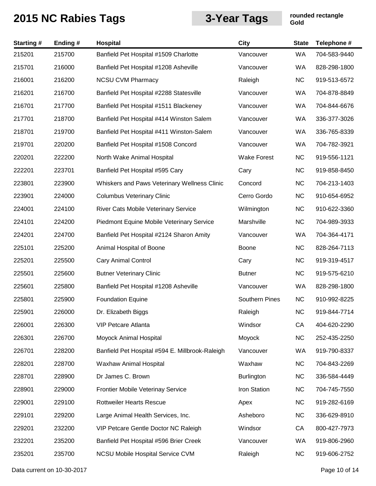| <b>Starting#</b> | Ending# | Hospital                                        | City                  | <b>State</b> | Telephone #  |
|------------------|---------|-------------------------------------------------|-----------------------|--------------|--------------|
| 215201           | 215700  | Banfield Pet Hospital #1509 Charlotte           | Vancouver             | <b>WA</b>    | 704-583-9440 |
| 215701           | 216000  | Banfield Pet Hospital #1208 Asheville           | Vancouver             | WA           | 828-298-1800 |
| 216001           | 216200  | <b>NCSU CVM Pharmacy</b>                        | Raleigh               | <b>NC</b>    | 919-513-6572 |
| 216201           | 216700  | Banfield Pet Hospital #2288 Statesville         | Vancouver             | WA           | 704-878-8849 |
| 216701           | 217700  | Banfield Pet Hospital #1511 Blackeney           | Vancouver             | WA           | 704-844-6676 |
| 217701           | 218700  | Banfield Pet Hospital #414 Winston Salem        | Vancouver             | WA           | 336-377-3026 |
| 218701           | 219700  | Banfield Pet Hospital #411 Winston-Salem        | Vancouver             | WA           | 336-765-8339 |
| 219701           | 220200  | Banfield Pet Hospital #1508 Concord             | Vancouver             | WA           | 704-782-3921 |
| 220201           | 222200  | North Wake Animal Hospital                      | <b>Wake Forest</b>    | <b>NC</b>    | 919-556-1121 |
| 222201           | 223701  | Banfield Pet Hospital #595 Cary                 | Cary                  | <b>NC</b>    | 919-858-8450 |
| 223801           | 223900  | Whiskers and Paws Veterinary Wellness Clinic    | Concord               | <b>NC</b>    | 704-213-1403 |
| 223901           | 224000  | <b>Columbus Veterinary Clinic</b>               | Cerro Gordo           | <b>NC</b>    | 910-654-6952 |
| 224001           | 224100  | River Cats Mobile Veterinary Service            | Wilmington            | <b>NC</b>    | 910-622-3360 |
| 224101           | 224200  | Piedmont Equine Mobile Veterinary Service       | Marshville            | <b>NC</b>    | 704-989-3933 |
| 224201           | 224700  | Banfield Pet Hospital #2124 Sharon Amity        | Vancouver             | WA           | 704-364-4171 |
| 225101           | 225200  | Animal Hospital of Boone                        | Boone                 | <b>NC</b>    | 828-264-7113 |
| 225201           | 225500  | <b>Cary Animal Control</b>                      | Cary                  | <b>NC</b>    | 919-319-4517 |
| 225501           | 225600  | <b>Butner Veterinary Clinic</b>                 | <b>Butner</b>         | <b>NC</b>    | 919-575-6210 |
| 225601           | 225800  | Banfield Pet Hospital #1208 Asheville           | Vancouver             | WA           | 828-298-1800 |
| 225801           | 225900  | <b>Foundation Equine</b>                        | <b>Southern Pines</b> | <b>NC</b>    | 910-992-8225 |
| 225901           | 226000  | Dr. Elizabeth Biggs                             | Raleigh               | <b>NC</b>    | 919-844-7714 |
| 226001           | 226300  | <b>VIP Petcare Atlanta</b>                      | Windsor               | CA           | 404-620-2290 |
| 226301           | 226700  | Moyock Animal Hospital                          | Moyock                | <b>NC</b>    | 252-435-2250 |
| 226701           | 228200  | Banfield Pet Hospital #594 E. Millbrook-Raleigh | Vancouver             | WA           | 919-790-8337 |
| 228201           | 228700  | Waxhaw Animal Hospital                          | Waxhaw                | <b>NC</b>    | 704-843-2269 |
| 228701           | 228900  | Dr James C. Brown                               | Burlington            | <b>NC</b>    | 336-584-4449 |
| 228901           | 229000  | Frontier Mobile Veterinay Service               | Iron Station          | <b>NC</b>    | 704-745-7550 |
| 229001           | 229100  | <b>Rottweiler Hearts Rescue</b>                 | Apex                  | <b>NC</b>    | 919-282-6169 |
| 229101           | 229200  | Large Animal Health Services, Inc.              | Asheboro              | <b>NC</b>    | 336-629-8910 |
| 229201           | 232200  | VIP Petcare Gentle Doctor NC Raleigh            | Windsor               | CA           | 800-427-7973 |
| 232201           | 235200  | Banfield Pet Hospital #596 Brier Creek          | Vancouver             | WA           | 919-806-2960 |
| 235201           | 235700  | <b>NCSU Mobile Hospital Service CVM</b>         | Raleigh               | <b>NC</b>    | 919-606-2752 |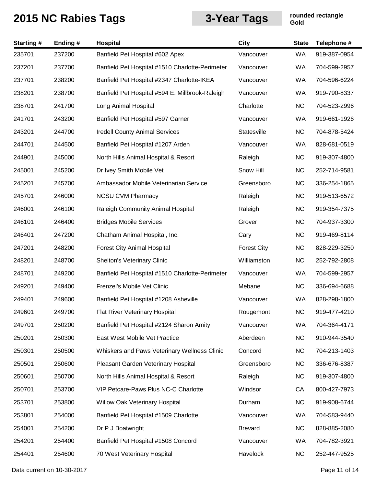| <b>Starting#</b> | Ending# | <b>Hospital</b>                                 | <b>City</b>        | <b>State</b> | Telephone #  |
|------------------|---------|-------------------------------------------------|--------------------|--------------|--------------|
| 235701           | 237200  | Banfield Pet Hospital #602 Apex                 | Vancouver          | WA           | 919-387-0954 |
| 237201           | 237700  | Banfield Pet Hospital #1510 Charlotte-Perimeter | Vancouver          | WA           | 704-599-2957 |
| 237701           | 238200  | Banfield Pet Hospital #2347 Charlotte-IKEA      | Vancouver          | WA           | 704-596-6224 |
| 238201           | 238700  | Banfield Pet Hospital #594 E. Millbrook-Raleigh | Vancouver          | WA           | 919-790-8337 |
| 238701           | 241700  | Long Animal Hospital                            | Charlotte          | <b>NC</b>    | 704-523-2996 |
| 241701           | 243200  | Banfield Pet Hospital #597 Garner               | Vancouver          | WA           | 919-661-1926 |
| 243201           | 244700  | <b>Iredell County Animal Services</b>           | Statesville        | <b>NC</b>    | 704-878-5424 |
| 244701           | 244500  | Banfield Pet Hospital #1207 Arden               | Vancouver          | WA           | 828-681-0519 |
| 244901           | 245000  | North Hills Animal Hospital & Resort            | Raleigh            | <b>NC</b>    | 919-307-4800 |
| 245001           | 245200  | Dr Ivey Smith Mobile Vet                        | Snow Hill          | <b>NC</b>    | 252-714-9581 |
| 245201           | 245700  | Ambassador Mobile Veterinarian Service          | Greensboro         | <b>NC</b>    | 336-254-1865 |
| 245701           | 246000  | <b>NCSU CVM Pharmacy</b>                        | Raleigh            | <b>NC</b>    | 919-513-6572 |
| 246001           | 246100  | Raleigh Community Animal Hospital               | Raleigh            | <b>NC</b>    | 919-354-7375 |
| 246101           | 246400  | <b>Bridges Mobile Services</b>                  | Grover             | <b>NC</b>    | 704-937-3300 |
| 246401           | 247200  | Chatham Animal Hospital, Inc.                   | Cary               | <b>NC</b>    | 919-469-8114 |
| 247201           | 248200  | <b>Forest City Animal Hospital</b>              | <b>Forest City</b> | <b>NC</b>    | 828-229-3250 |
| 248201           | 248700  | Shelton's Veterinary Clinic                     | Williamston        | <b>NC</b>    | 252-792-2808 |
| 248701           | 249200  | Banfield Pet Hospital #1510 Charlotte-Perimeter | Vancouver          | WA           | 704-599-2957 |
| 249201           | 249400  | Frenzel's Mobile Vet Clinic                     | Mebane             | <b>NC</b>    | 336-694-6688 |
| 249401           | 249600  | Banfield Pet Hospital #1208 Asheville           | Vancouver          | WA           | 828-298-1800 |
| 249601           | 249700  | Flat River Veterinary Hospital                  | Rougemont          | <b>NC</b>    | 919-477-4210 |
| 249701           | 250200  | Banfield Pet Hospital #2124 Sharon Amity        | Vancouver          | <b>WA</b>    | 704-364-4171 |
| 250201           | 250300  | East West Mobile Vet Practice                   | Aberdeen           | <b>NC</b>    | 910-944-3540 |
| 250301           | 250500  | Whiskers and Paws Veterinary Wellness Clinic    | Concord            | <b>NC</b>    | 704-213-1403 |
| 250501           | 250600  | Pleasant Garden Veterinary Hospital             | Greensboro         | <b>NC</b>    | 336-676-8387 |
| 250601           | 250700  | North Hills Animal Hospital & Resort            | Raleigh            | <b>NC</b>    | 919-307-4800 |
| 250701           | 253700  | VIP Petcare-Paws Plus NC-C Charlotte            | Windsor            | CA           | 800-427-7973 |
| 253701           | 253800  | Willow Oak Veterinary Hospital                  | Durham             | <b>NC</b>    | 919-908-6744 |
| 253801           | 254000  | Banfield Pet Hospital #1509 Charlotte           | Vancouver          | WA           | 704-583-9440 |
| 254001           | 254200  | Dr P J Boatwright                               | <b>Brevard</b>     | <b>NC</b>    | 828-885-2080 |
| 254201           | 254400  | Banfield Pet Hospital #1508 Concord             | Vancouver          | WA           | 704-782-3921 |
| 254401           | 254600  | 70 West Veterinary Hospital                     | Havelock           | <b>NC</b>    | 252-447-9525 |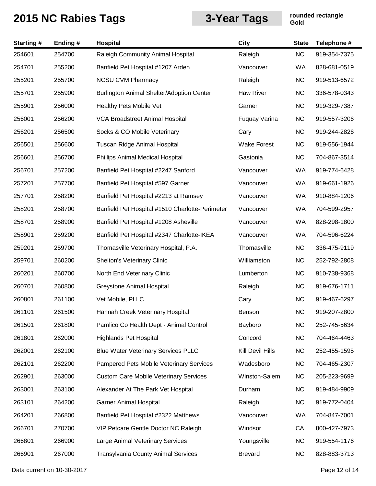| <b>Starting#</b> | Ending# | Hospital                                        | City               | <b>State</b> | Telephone #  |
|------------------|---------|-------------------------------------------------|--------------------|--------------|--------------|
| 254601           | 254700  | Raleigh Community Animal Hospital               | Raleigh            | <b>NC</b>    | 919-354-7375 |
| 254701           | 255200  | Banfield Pet Hospital #1207 Arden               | Vancouver          | WA           | 828-681-0519 |
| 255201           | 255700  | <b>NCSU CVM Pharmacy</b>                        | Raleigh            | <b>NC</b>    | 919-513-6572 |
| 255701           | 255900  | Burlington Animal Shelter/Adoption Center       | Haw River          | <b>NC</b>    | 336-578-0343 |
| 255901           | 256000  | Healthy Pets Mobile Vet                         | Garner             | <b>NC</b>    | 919-329-7387 |
| 256001           | 256200  | VCA Broadstreet Animal Hospital                 | Fuquay Varina      | <b>NC</b>    | 919-557-3206 |
| 256201           | 256500  | Socks & CO Mobile Veterinary                    | Cary               | <b>NC</b>    | 919-244-2826 |
| 256501           | 256600  | Tuscan Ridge Animal Hospital                    | <b>Wake Forest</b> | <b>NC</b>    | 919-556-1944 |
| 256601           | 256700  | Phillips Animal Medical Hospital                | Gastonia           | <b>NC</b>    | 704-867-3514 |
| 256701           | 257200  | Banfield Pet Hospital #2247 Sanford             | Vancouver          | WA           | 919-774-6428 |
| 257201           | 257700  | Banfield Pet Hospital #597 Garner               | Vancouver          | WA           | 919-661-1926 |
| 257701           | 258200  | Banfield Pet Hospital #2213 at Ramsey           | Vancouver          | WA           | 910-884-1206 |
| 258201           | 258700  | Banfield Pet Hospital #1510 Charlotte-Perimeter | Vancouver          | WA           | 704-599-2957 |
| 258701           | 258900  | Banfield Pet Hospital #1208 Asheville           | Vancouver          | WA           | 828-298-1800 |
| 258901           | 259200  | Banfield Pet Hospital #2347 Charlotte-IKEA      | Vancouver          | WA           | 704-596-6224 |
| 259201           | 259700  | Thomasville Veterinary Hospital, P.A.           | Thomasville        | <b>NC</b>    | 336-475-9119 |
| 259701           | 260200  | Shelton's Veterinary Clinic                     | Williamston        | <b>NC</b>    | 252-792-2808 |
| 260201           | 260700  | North End Veterinary Clinic                     | Lumberton          | <b>NC</b>    | 910-738-9368 |
| 260701           | 260800  | <b>Greystone Animal Hospital</b>                | Raleigh            | <b>NC</b>    | 919-676-1711 |
| 260801           | 261100  | Vet Mobile, PLLC                                | Cary               | <b>NC</b>    | 919-467-6297 |
| 261101           | 261500  | Hannah Creek Veterinary Hospital                | Benson             | NC           | 919-207-2800 |
| 261501           | 261800  | Pamlico Co Health Dept - Animal Control         | Bayboro            | <b>NC</b>    | 252-745-5634 |
| 261801           | 262000  | <b>Highlands Pet Hospital</b>                   | Concord            | <b>NC</b>    | 704-464-4463 |
| 262001           | 262100  | <b>Blue Water Veterinary Services PLLC</b>      | Kill Devil Hills   | <b>NC</b>    | 252-455-1595 |
| 262101           | 262200  | Pampered Pets Mobile Veterinary Services        | Wadesboro          | <b>NC</b>    | 704-465-2307 |
| 262901           | 263000  | <b>Custom Care Mobile Veterinary Services</b>   | Winston-Salem      | <b>NC</b>    | 205-223-9699 |
| 263001           | 263100  | Alexander At The Park Vet Hospital              | Durham             | <b>NC</b>    | 919-484-9909 |
| 263101           | 264200  | <b>Garner Animal Hospital</b>                   | Raleigh            | <b>NC</b>    | 919-772-0404 |
| 264201           | 266800  | Banfield Pet Hospital #2322 Matthews            | Vancouver          | WA           | 704-847-7001 |
| 266701           | 270700  | VIP Petcare Gentle Doctor NC Raleigh            | Windsor            | CA           | 800-427-7973 |
| 266801           | 266900  | Large Animal Veterinary Services                | Youngsville        | <b>NC</b>    | 919-554-1176 |
| 266901           | 267000  | <b>Transylvania County Animal Services</b>      | <b>Brevard</b>     | <b>NC</b>    | 828-883-3713 |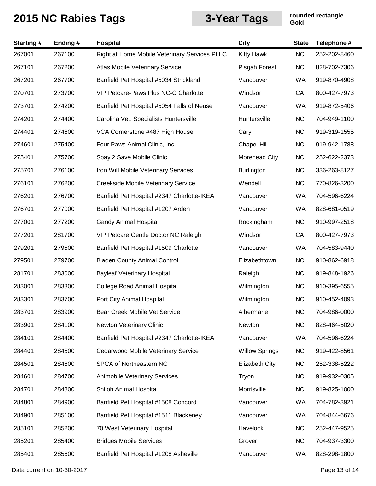| <b>Starting#</b> | Ending# | <b>Hospital</b>                               | <b>City</b>           | <b>State</b> | Telephone #  |
|------------------|---------|-----------------------------------------------|-----------------------|--------------|--------------|
| 267001           | 267100  | Right at Home Mobile Veterinary Services PLLC | <b>Kitty Hawk</b>     | <b>NC</b>    | 252-202-8460 |
| 267101           | 267200  | Atlas Mobile Veterinary Service               | Pisgah Forest         | <b>NC</b>    | 828-702-7306 |
| 267201           | 267700  | Banfield Pet Hospital #5034 Strickland        | Vancouver             | <b>WA</b>    | 919-870-4908 |
| 270701           | 273700  | VIP Petcare-Paws Plus NC-C Charlotte          | Windsor               | CA           | 800-427-7973 |
| 273701           | 274200  | Banfield Pet Hospital #5054 Falls of Neuse    | Vancouver             | WA           | 919-872-5406 |
| 274201           | 274400  | Carolina Vet. Specialists Huntersville        | Huntersville          | <b>NC</b>    | 704-949-1100 |
| 274401           | 274600  | VCA Cornerstone #487 High House               | Cary                  | <b>NC</b>    | 919-319-1555 |
| 274601           | 275400  | Four Paws Animal Clinic, Inc.                 | Chapel Hill           | <b>NC</b>    | 919-942-1788 |
| 275401           | 275700  | Spay 2 Save Mobile Clinic                     | Morehead City         | <b>NC</b>    | 252-622-2373 |
| 275701           | 276100  | Iron Will Mobile Veterinary Services          | <b>Burlington</b>     | <b>NC</b>    | 336-263-8127 |
| 276101           | 276200  | Creekside Mobile Veterinary Service           | Wendell               | <b>NC</b>    | 770-826-3200 |
| 276201           | 276700  | Banfield Pet Hospital #2347 Charlotte-IKEA    | Vancouver             | <b>WA</b>    | 704-596-6224 |
| 276701           | 277000  | Banfield Pet Hospital #1207 Arden             | Vancouver             | WA           | 828-681-0519 |
| 277001           | 277200  | <b>Gandy Animal Hospital</b>                  | Rockingham            | <b>NC</b>    | 910-997-2518 |
| 277201           | 281700  | VIP Petcare Gentle Doctor NC Raleigh          | Windsor               | CA           | 800-427-7973 |
| 279201           | 279500  | Banfield Pet Hospital #1509 Charlotte         | Vancouver             | <b>WA</b>    | 704-583-9440 |
| 279501           | 279700  | <b>Bladen County Animal Control</b>           | Elizabethtown         | <b>NC</b>    | 910-862-6918 |
| 281701           | 283000  | <b>Bayleaf Veterinary Hospital</b>            | Raleigh               | <b>NC</b>    | 919-848-1926 |
| 283001           | 283300  | <b>College Road Animal Hospital</b>           | Wilmington            | <b>NC</b>    | 910-395-6555 |
| 283301           | 283700  | Port City Animal Hospital                     | Wilmington            | <b>NC</b>    | 910-452-4093 |
| 283701           | 283900  | Bear Creek Mobile Vet Service                 | Albermarle            | <b>NC</b>    | 704-986-0000 |
| 283901           | 284100  | Newton Veterinary Clinic                      | Newton                | <b>NC</b>    | 828-464-5020 |
| 284101           | 284400  | Banfield Pet Hospital #2347 Charlotte-IKEA    | Vancouver             | WA           | 704-596-6224 |
| 284401           | 284500  | Cedarwood Mobile Veterinary Service           | <b>Willow Springs</b> | <b>NC</b>    | 919-422-8561 |
| 284501           | 284600  | SPCA of Northeastern NC                       | <b>Elizabeth City</b> | <b>NC</b>    | 252-338-5222 |
| 284601           | 284700  | <b>Animobile Veterinary Services</b>          | Tryon                 | <b>NC</b>    | 919-932-0305 |
| 284701           | 284800  | Shiloh Animal Hospital                        | Morrisville           | <b>NC</b>    | 919-825-1000 |
| 284801           | 284900  | Banfield Pet Hospital #1508 Concord           | Vancouver             | WA           | 704-782-3921 |
| 284901           | 285100  | Banfield Pet Hospital #1511 Blackeney         | Vancouver             | WA           | 704-844-6676 |
| 285101           | 285200  | 70 West Veterinary Hospital                   | Havelock              | <b>NC</b>    | 252-447-9525 |
| 285201           | 285400  | <b>Bridges Mobile Services</b>                | Grover                | <b>NC</b>    | 704-937-3300 |
| 285401           | 285600  | Banfield Pet Hospital #1208 Asheville         | Vancouver             | WA           | 828-298-1800 |